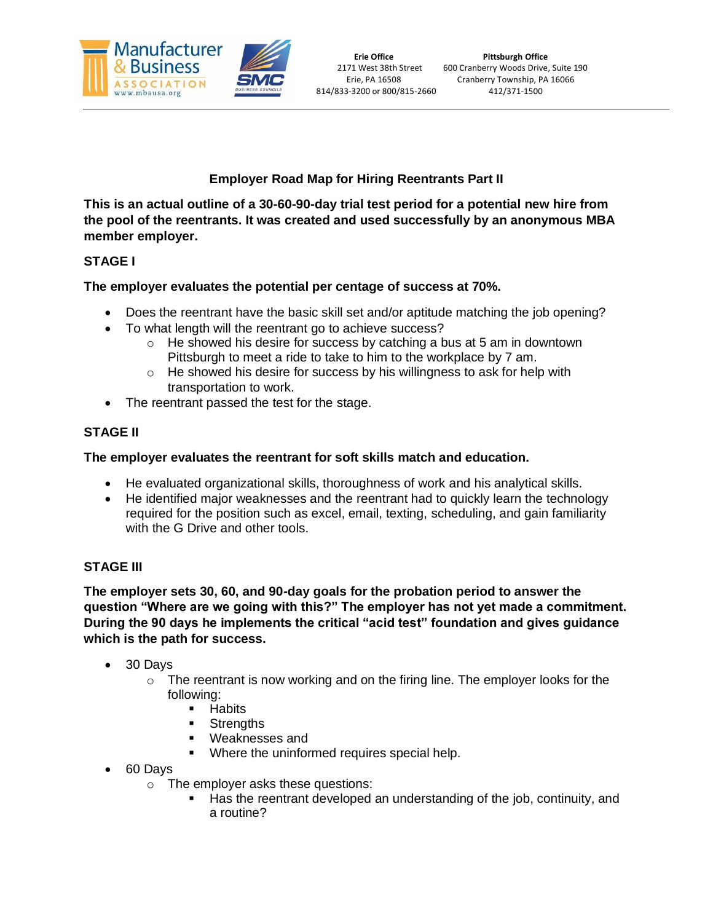

# **Employer Road Map for Hiring Reentrants Part II**

**This is an actual outline of a 30-60-90-day trial test period for a potential new hire from the pool of the reentrants. It was created and used successfully by an anonymous MBA member employer.**

# **STAGE I**

# **The employer evaluates the potential per centage of success at 70%.**

- Does the reentrant have the basic skill set and/or aptitude matching the job opening?
- To what length will the reentrant go to achieve success?
	- $\circ$  He showed his desire for success by catching a bus at 5 am in downtown Pittsburgh to meet a ride to take to him to the workplace by 7 am.
	- $\circ$  He showed his desire for success by his willingness to ask for help with transportation to work.
- The reentrant passed the test for the stage.

# **STAGE II**

#### **The employer evaluates the reentrant for soft skills match and education.**

- He evaluated organizational skills, thoroughness of work and his analytical skills.
- He identified major weaknesses and the reentrant had to quickly learn the technology required for the position such as excel, email, texting, scheduling, and gain familiarity with the G Drive and other tools.

### **STAGE III**

**The employer sets 30, 60, and 90-day goals for the probation period to answer the question "Where are we going with this?" The employer has not yet made a commitment. During the 90 days he implements the critical "acid test" foundation and gives guidance which is the path for success.**

- 30 Days
	- $\circ$  The reentrant is now working and on the firing line. The employer looks for the following:
		- Habits
		- Strengths
		- Weaknesses and
		- Where the uninformed requires special help.
- 60 Days
	- o The employer asks these questions:
		- Has the reentrant developed an understanding of the job, continuity, and a routine?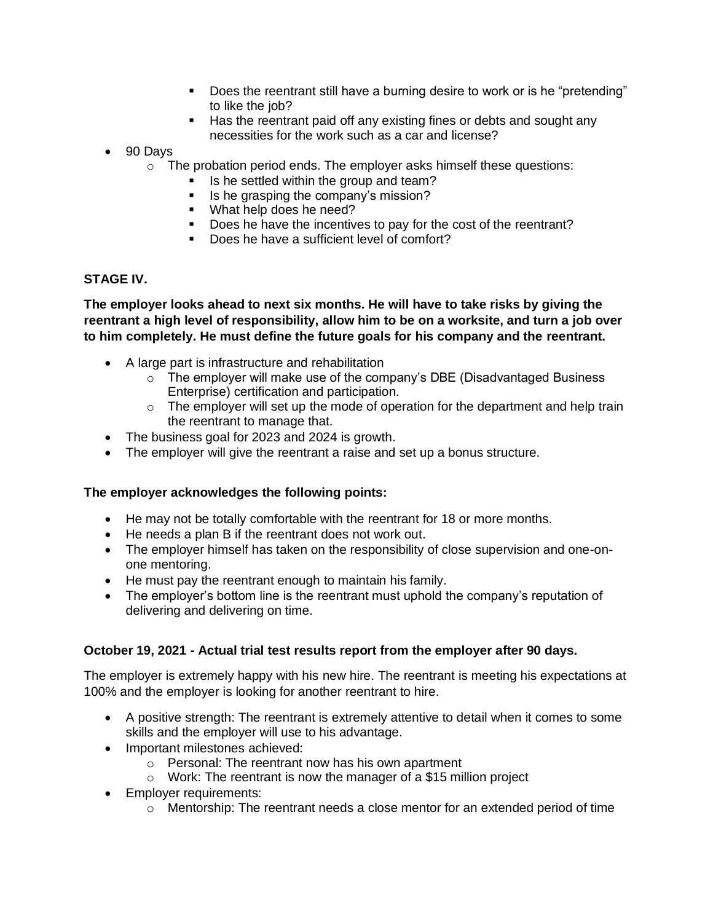- Does the reentrant still have a burning desire to work or is he "pretending" to like the job?
- Has the reentrant paid off any existing fines or debts and sought any necessities for the work such as a car and license?
- 90 Days
	- o The probation period ends. The employer asks himself these questions:
		- Is he settled within the group and team?
		- Is he grasping the company's mission?
		- What help does he need?
		- Does he have the incentives to pay for the cost of the reentrant?
		- Does he have a sufficient level of comfort?

# **STAGE IV.**

**The employer looks ahead to next six months. He will have to take risks by giving the reentrant a high level of responsibility, allow him to be on a worksite, and turn a job over to him completely. He must define the future goals for his company and the reentrant.**

- A large part is infrastructure and rehabilitation
	- $\circ$  The employer will make use of the company's DBE (Disadvantaged Business Enterprise) certification and participation.
	- $\circ$  The employer will set up the mode of operation for the department and help train the reentrant to manage that.
- The business goal for 2023 and 2024 is growth.
- The employer will give the reentrant a raise and set up a bonus structure.

### **The employer acknowledges the following points:**

- He may not be totally comfortable with the reentrant for 18 or more months.
- He needs a plan B if the reentrant does not work out.
- The employer himself has taken on the responsibility of close supervision and one-onone mentoring.
- He must pay the reentrant enough to maintain his family.
- The employer's bottom line is the reentrant must uphold the company's reputation of delivering and delivering on time.

### **October 19, 2021 - Actual trial test results report from the employer after 90 days.**

The employer is extremely happy with his new hire. The reentrant is meeting his expectations at 100% and the employer is looking for another reentrant to hire.

- A positive strength: The reentrant is extremely attentive to detail when it comes to some skills and the employer will use to his advantage.
- Important milestones achieved:
	- o Personal: The reentrant now has his own apartment
	- $\circ$  Work: The reentrant is now the manager of a \$15 million project
- Employer requirements:
	- $\circ$  Mentorship: The reentrant needs a close mentor for an extended period of time